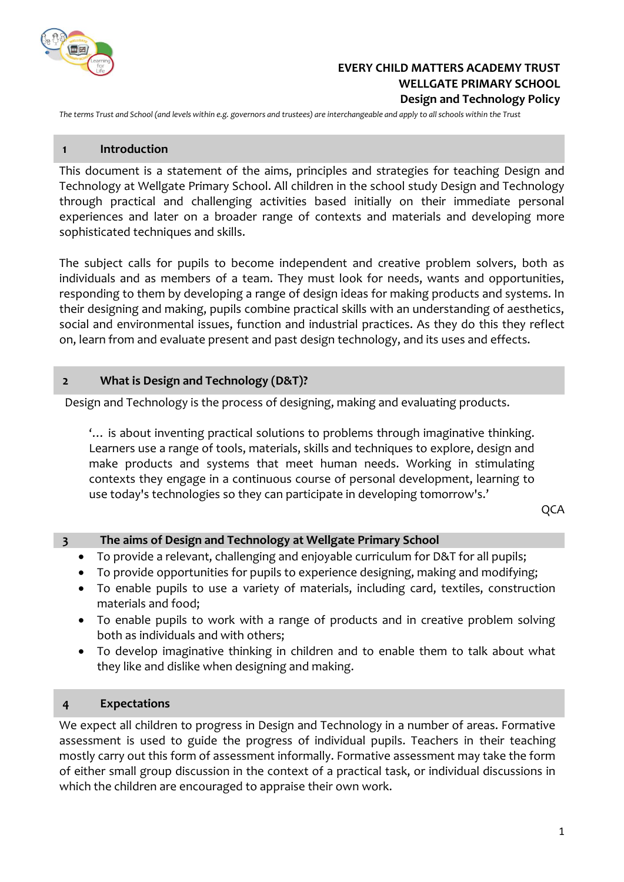

# **EVERY CHILD MATTERS ACADEMY TRUST WELLGATE PRIMARY SCHOOL Design and Technology Policy**

*The terms Trust and School (and levels within e.g. governors and trustees) are interchangeable and apply to all schools within the Trust*

#### **1 Introduction**

This document is a statement of the aims, principles and strategies for teaching Design and Technology at Wellgate Primary School. All children in the school study Design and Technology through practical and challenging activities based initially on their immediate personal experiences and later on a broader range of contexts and materials and developing more sophisticated techniques and skills.

The subject calls for pupils to become independent and creative problem solvers, both as individuals and as members of a team. They must look for needs, wants and opportunities, responding to them by developing a range of design ideas for making products and systems. In their designing and making, pupils combine practical skills with an understanding of aesthetics, social and environmental issues, function and industrial practices. As they do this they reflect on, learn from and evaluate present and past design technology, and its uses and effects.

### **2 What is Design and Technology (D&T)?**

Design and Technology is the process of designing, making and evaluating products.

'… is about inventing practical solutions to problems through imaginative thinking. Learners use a range of tools, materials, skills and techniques to explore, design and make products and systems that meet human needs. Working in stimulating contexts they engage in a continuous course of personal development, learning to use today's technologies so they can participate in developing tomorrow's.'

QCA

### **3 The aims of Design and Technology at Wellgate Primary School**

- To provide a relevant, challenging and enjoyable curriculum for D&T for all pupils;
- To provide opportunities for pupils to experience designing, making and modifying;
- To enable pupils to use a variety of materials, including card, textiles, construction materials and food;
- To enable pupils to work with a range of products and in creative problem solving both as individuals and with others;
- To develop imaginative thinking in children and to enable them to talk about what they like and dislike when designing and making.

### **4 Expectations**

We expect all children to progress in Design and Technology in a number of areas. Formative assessment is used to guide the progress of individual pupils. Teachers in their teaching mostly carry out this form of assessment informally. Formative assessment may take the form of either small group discussion in the context of a practical task, or individual discussions in which the children are encouraged to appraise their own work.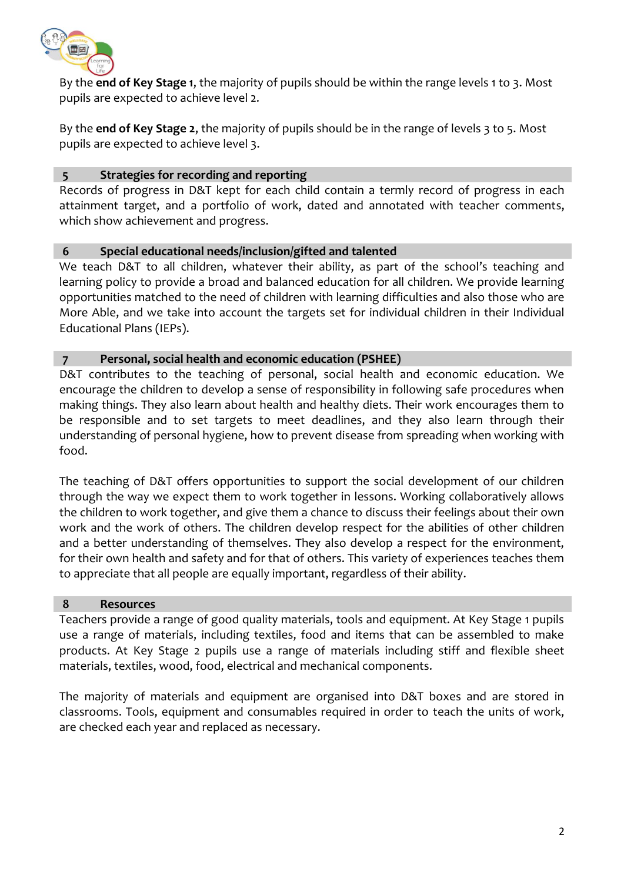

By the **end of Key Stage 1**, the majority of pupils should be within the range levels 1 to 3. Most pupils are expected to achieve level 2.

By the **end of Key Stage 2**, the majority of pupils should be in the range of levels 3 to 5. Most pupils are expected to achieve level 3.

# **5 Strategies for recording and reporting**

Records of progress in D&T kept for each child contain a termly record of progress in each attainment target, and a portfolio of work, dated and annotated with teacher comments, which show achievement and progress.

# **6 Special educational needs/inclusion/gifted and talented**

We teach D&T to all children, whatever their ability, as part of the school's teaching and learning policy to provide a broad and balanced education for all children. We provide learning opportunities matched to the need of children with learning difficulties and also those who are More Able, and we take into account the targets set for individual children in their Individual Educational Plans (IEPs).

# **7 Personal, social health and economic education (PSHEE)**

D&T contributes to the teaching of personal, social health and economic education. We encourage the children to develop a sense of responsibility in following safe procedures when making things. They also learn about health and healthy diets. Their work encourages them to be responsible and to set targets to meet deadlines, and they also learn through their understanding of personal hygiene, how to prevent disease from spreading when working with food.

The teaching of D&T offers opportunities to support the social development of our children through the way we expect them to work together in lessons. Working collaboratively allows the children to work together, and give them a chance to discuss their feelings about their own work and the work of others. The children develop respect for the abilities of other children and a better understanding of themselves. They also develop a respect for the environment, for their own health and safety and for that of others. This variety of experiences teaches them to appreciate that all people are equally important, regardless of their ability.

### **8 Resources**

Teachers provide a range of good quality materials, tools and equipment. At Key Stage 1 pupils use a range of materials, including textiles, food and items that can be assembled to make products. At Key Stage 2 pupils use a range of materials including stiff and flexible sheet materials, textiles, wood, food, electrical and mechanical components.

The majority of materials and equipment are organised into D&T boxes and are stored in classrooms. Tools, equipment and consumables required in order to teach the units of work, are checked each year and replaced as necessary.